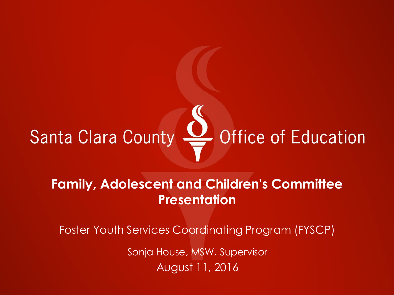# Santa Clara County & Office of Education

#### **Family, Adolescent and Children's Committee Presentation**

Foster Youth Services Coordinating Program (FYSCP)

Sonja House, MSW, Supervisor August 11, 2016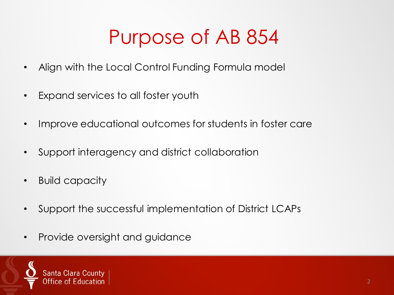## Purpose of AB 854

- Align with the Local Control Funding Formula model
- Expand services to all foster youth
- Improve educational outcomes for students in foster care
- Support interagency and district collaboration
- Build capacity
- Support the successful implementation of District LCAPs
- Provide oversight and guidance

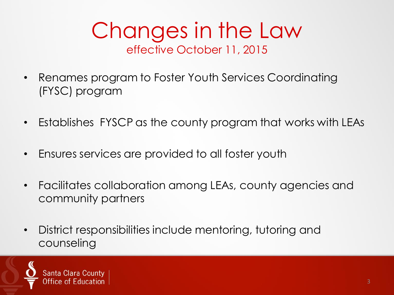#### Changes in the Law effective October 11, 2015

- Renames program to Foster Youth Services Coordinating (FYSC) program
- Establishes FYSCP as the county program that works with LEAs
- Ensures services are provided to all foster youth
- Facilitates collaboration among LEAs, county agencies and community partners
- District responsibilities include mentoring, tutoring and counseling

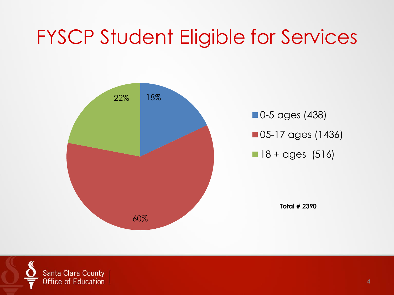## FYSCP Student Eligible for Services



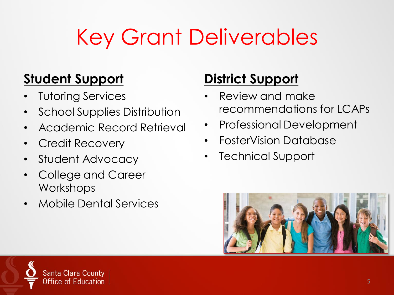# Key Grant Deliverables

#### **Student Support**

- **Tutoring Services**
- School Supplies Distribution
- Academic Record Retrieval
- Credit Recovery
- Student Advocacy
- College and Career **Workshops**
- Mobile Dental Services

#### **District Support**

- Review and make recommendations for LCAPs
- Professional Development
- FosterVision Database
- **Technical Support**



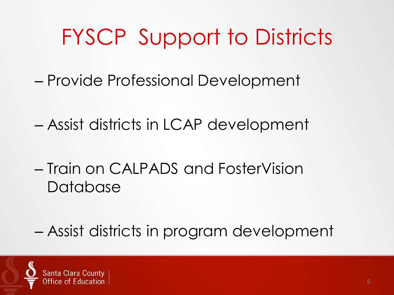## FYSCP Support to Districts

- Provide Professional Development
- Assist districts in LCAP development
- Train on CALPADS and FosterVision Database
- Assist districts in program development

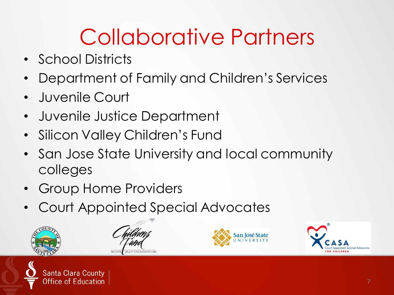# Collaborative Partners

- School Districts
- Department of Family and Children's Services
- Juvenile Court
- Juvenile Justice Department
- Silicon Valley Children's Fund
- San Jose State University and local community colleges
- Group Home Providers
- Court Appointed Special Advocates



Santa Clara County

ducation





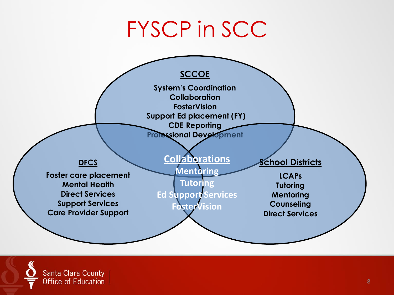## FYSCP in SCC